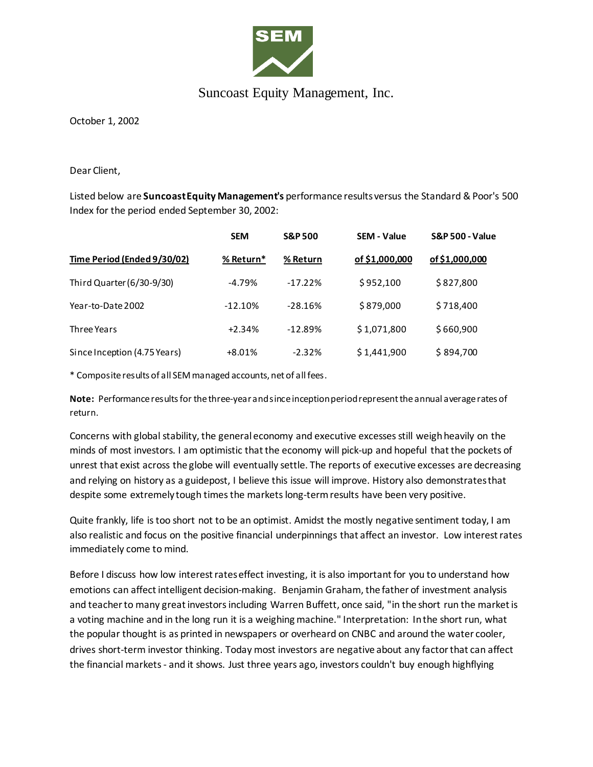

## Suncoast Equity Management, Inc.

October 1, 2002

Dear Client,

Listed below are **Suncoast Equity Management's** performance results versus the Standard & Poor's 500 Index for the period ended September 30, 2002:

|                              | <b>SEM</b> | <b>S&amp;P 500</b> | <b>SEM - Value</b> | <b>S&amp;P 500 - Value</b> |
|------------------------------|------------|--------------------|--------------------|----------------------------|
| Time Period (Ended 9/30/02)  | % Return*  | % Return           | of \$1,000,000     | of \$1,000,000             |
| Third Quarter (6/30-9/30)    | $-4.79%$   | $-17.22%$          | \$952,100          | \$827,800                  |
| Year-to-Date 2002            | $-12.10%$  | $-28.16%$          | \$879,000          | \$718,400                  |
| Three Years                  | $+2.34%$   | $-12.89%$          | \$1,071,800        | \$660,900                  |
| Since Inception (4.75 Years) | $+8.01%$   | $-2.32%$           | \$1,441,900        | \$894,700                  |

\* Composite results of all SEM managed accounts, net of all fees.

**Note:** Performance results for the three-year and since inception period represent the annual average rates of return.

Concerns with global stability, the general economy and executive excesses still weigh heavily on the minds of most investors. I am optimistic that the economy will pick-up and hopeful that the pockets of unrest that exist across the globe will eventually settle. The reports of executive excesses are decreasing and relying on history as a guidepost, I believe this issue will improve. History also demonstrates that despite some extremely tough times the markets long-term results have been very positive.

Quite frankly, life is too short not to be an optimist. Amidst the mostly negative sentiment today, I am also realistic and focus on the positive financial underpinnings that affect an investor. Low interest rates immediately come to mind.

Before I discuss how low interest rates effect investing, it is also important for you to understand how emotions can affect intelligent decision-making. Benjamin Graham, the father of investment analysis and teacher to many great investors including Warren Buffett, once said, "in the short run the market is a voting machine and in the long run it is a weighing machine." Interpretation: In the short run, what the popular thought is as printed in newspapers or overheard on CNBC and around the water cooler, drives short-term investor thinking. Today most investors are negative about any factor that can affect the financial markets - and it shows. Just three years ago, investors couldn't buy enough highflying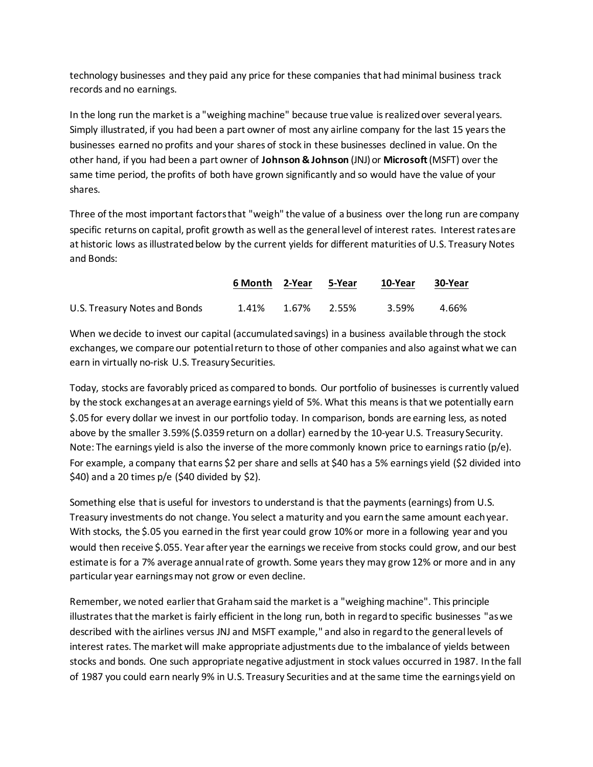technology businesses and they paid any price for these companies that had minimal business track records and no earnings.

In the long run the market is a "weighing machine" because true value is realized over several years. Simply illustrated, if you had been a part owner of most any airline company for the last 15 years the businesses earned no profits and your shares of stock in these businesses declined in value. On the other hand, if you had been a part owner of **Johnson & Johnson** (JNJ) or **Microsoft** (MSFT) over the same time period, the profits of both have grown significantly and so would have the value of your shares.

Three of the most important factors that "weigh" the value of a business over the long run are company specific returns on capital, profit growth as well as the general level of interest rates. Interest rates are at historic lows as illustrated below by the current yields for different maturities of U.S. Treasury Notes and Bonds:

|                               | 6 Month 2-Year 5-Year |             | 10-Year | 30-Year |
|-------------------------------|-----------------------|-------------|---------|---------|
| U.S. Treasury Notes and Bonds | 1.41%                 | 1.67% 2.55% | 3.59%   | 4.66%   |

When we decide to invest our capital (accumulated savings) in a business available through the stock exchanges, we compare our potential return to those of other companies and also against what we can earn in virtually no-risk U.S. Treasury Securities.

Today, stocks are favorably priced as compared to bonds. Our portfolio of businesses is currently valued by the stock exchanges at an average earnings yield of 5%. What this means is that we potentially earn \$.05 for every dollar we invest in our portfolio today. In comparison, bonds are earning less, as noted above by the smaller 3.59% (\$.0359 return on a dollar) earned by the 10-year U.S. Treasury Security. Note: The earnings yield is also the inverse of the more commonly known price to earnings ratio (p/e). For example, a company that earns \$2 per share and sells at \$40 has a 5% earnings yield (\$2 divided into  $$40$ ) and a 20 times p/e (\$40 divided by \$2).

Something else that is useful for investors to understand is that the payments (earnings) from U.S. Treasury investments do not change. You select a maturity and you earn the same amount each year. With stocks, the \$.05 you earned in the first year could grow 10% or more in a following year and you would then receive \$.055. Year after year the earnings we receive from stocks could grow, and our best estimate is for a 7% average annual rate of growth. Some years they may grow 12% or more and in any particular year earnings may not grow or even decline.

Remember, we noted earlier that Graham said the market is a "weighing machine". This principle illustrates that the market is fairly efficient in the long run, both in regard to specific businesses "as we described with the airlines versus JNJ and MSFT example," and also in regard to the general levels of interest rates. The market will make appropriate adjustments due to the imbalance of yields between stocks and bonds. One such appropriate negative adjustment in stock values occurred in 1987. In the fall of 1987 you could earn nearly 9% in U.S. Treasury Securities and at the same time the earnings yield on